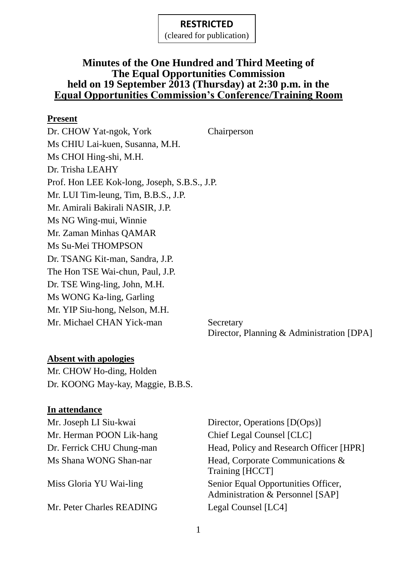(cleared for publication)

### **Minutes of the One Hundred and Third Meeting of The Equal Opportunities Commission held on 19 September 2013 (Thursday) at 2:30 p.m. in the Equal Opportunities Commission's Conference/Training Room**

#### **Present**

Dr. CHOW Yat-ngok, York Chairperson Ms CHIU Lai-kuen, Susanna, M.H. Ms CHOI Hing-shi, M.H. Dr. Trisha LEAHY Prof. Hon LEE Kok-long, Joseph, S.B.S., J.P. Mr. LUI Tim-leung, Tim, B.B.S., J.P. Mr. Amirali Bakirali NASIR, J.P. Ms NG Wing-mui, Winnie Mr. Zaman Minhas QAMAR Ms Su-Mei THOMPSON Dr. TSANG Kit-man, Sandra, J.P. The Hon TSE Wai-chun, Paul, J.P. Dr. TSE Wing-ling, John, M.H. Ms WONG Ka-ling, Garling Mr. YIP Siu-hong, Nelson, M.H. Mr. Michael CHAN Yick-man Secretary

Director, Planning & Administration [DPA]

### **Absent with apologies**

Mr. CHOW Ho-ding, Holden Dr. KOONG May-kay, Maggie, B.B.S.

#### **In attendance**

Mr. Herman POON Lik-hang Chief Legal Counsel [CLC]

Mr. Peter Charles READING Legal Counsel [LC4]

Mr. Joseph LI Siu-kwai Director, Operations [D(Ops)] Dr. Ferrick CHU Chung-man Head, Policy and Research Officer [HPR] Ms Shana WONG Shan-nar Head, Corporate Communications & Training [HCCT] Miss Gloria YU Wai-ling Senior Equal Opportunities Officer, Administration & Personnel [SAP]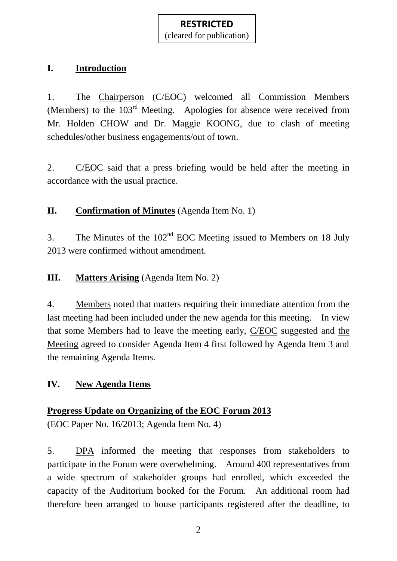### **I. Introduction**

1. The Chairperson (C/EOC) welcomed all Commission Members (Members) to the 103rd Meeting. Apologies for absence were received from Mr. Holden CHOW and Dr. Maggie KOONG, due to clash of meeting schedules/other business engagements/out of town.

2. C/EOC said that a press briefing would be held after the meeting in accordance with the usual practice.

**II. Confirmation of Minutes** (Agenda Item No. 1)

3. The Minutes of the  $102<sup>nd</sup>$  EOC Meeting issued to Members on 18 July 2013 were confirmed without amendment.

**III. Matters Arising** (Agenda Item No. 2)

4. Members noted that matters requiring their immediate attention from the last meeting had been included under the new agenda for this meeting. In view that some Members had to leave the meeting early, C/EOC suggested and the Meeting agreed to consider Agenda Item 4 first followed by Agenda Item 3 and the remaining Agenda Items.

### **IV. New Agenda Items**

#### **Progress Update on Organizing of the EOC Forum 2013**

(EOC Paper No. 16/2013; Agenda Item No. 4)

5. DPA informed the meeting that responses from stakeholders to participate in the Forum were overwhelming. Around 400 representatives from a wide spectrum of stakeholder groups had enrolled, which exceeded the capacity of the Auditorium booked for the Forum. An additional room had therefore been arranged to house participants registered after the deadline, to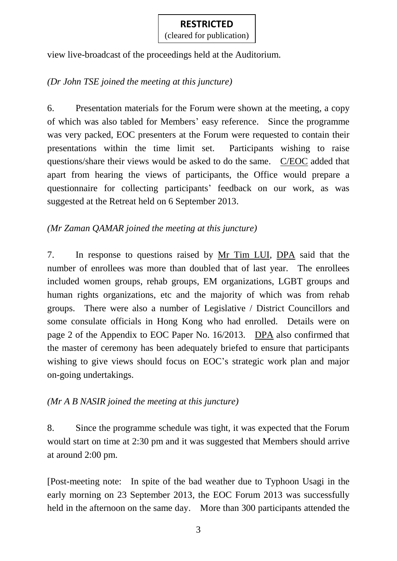view live-broadcast of the proceedings held at the Auditorium.

### *(Dr John TSE joined the meeting at this juncture)*

6. Presentation materials for the Forum were shown at the meeting, a copy of which was also tabled for Members' easy reference. Since the programme was very packed, EOC presenters at the Forum were requested to contain their presentations within the time limit set. Participants wishing to raise questions/share their views would be asked to do the same. C/EOC added that apart from hearing the views of participants, the Office would prepare a questionnaire for collecting participants' feedback on our work, as was suggested at the Retreat held on 6 September 2013.

### *(Mr Zaman QAMAR joined the meeting at this juncture)*

7. In response to questions raised by Mr Tim LUI, DPA said that the number of enrollees was more than doubled that of last year. The enrollees included women groups, rehab groups, EM organizations, LGBT groups and human rights organizations, etc and the majority of which was from rehab groups. There were also a number of Legislative / District Councillors and some consulate officials in Hong Kong who had enrolled. Details were on page 2 of the Appendix to EOC Paper No. 16/2013. DPA also confirmed that the master of ceremony has been adequately briefed to ensure that participants wishing to give views should focus on EOC's strategic work plan and major on-going undertakings.

### *(Mr A B NASIR joined the meeting at this juncture)*

8. Since the programme schedule was tight, it was expected that the Forum would start on time at 2:30 pm and it was suggested that Members should arrive at around 2:00 pm.

[Post-meeting note: In spite of the bad weather due to Typhoon Usagi in the early morning on 23 September 2013, the EOC Forum 2013 was successfully held in the afternoon on the same day. More than 300 participants attended the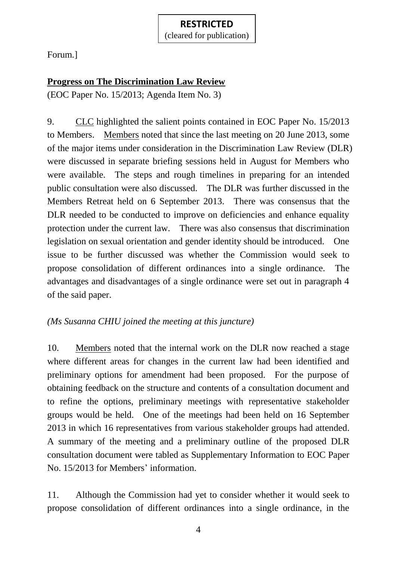Forum.]

### **Progress on The Discrimination Law Review**

(EOC Paper No. 15/2013; Agenda Item No. 3)

9. CLC highlighted the salient points contained in EOC Paper No. 15/2013 to Members. Members noted that since the last meeting on 20 June 2013, some of the major items under consideration in the Discrimination Law Review (DLR) were discussed in separate briefing sessions held in August for Members who were available. The steps and rough timelines in preparing for an intended public consultation were also discussed. The DLR was further discussed in the Members Retreat held on 6 September 2013. There was consensus that the DLR needed to be conducted to improve on deficiencies and enhance equality protection under the current law. There was also consensus that discrimination legislation on sexual orientation and gender identity should be introduced. One issue to be further discussed was whether the Commission would seek to propose consolidation of different ordinances into a single ordinance. The advantages and disadvantages of a single ordinance were set out in paragraph 4 of the said paper.

### *(Ms Susanna CHIU joined the meeting at this juncture)*

10. Members noted that the internal work on the DLR now reached a stage where different areas for changes in the current law had been identified and preliminary options for amendment had been proposed. For the purpose of obtaining feedback on the structure and contents of a consultation document and to refine the options, preliminary meetings with representative stakeholder groups would be held. One of the meetings had been held on 16 September 2013 in which 16 representatives from various stakeholder groups had attended. A summary of the meeting and a preliminary outline of the proposed DLR consultation document were tabled as Supplementary Information to EOC Paper No. 15/2013 for Members' information.

11. Although the Commission had yet to consider whether it would seek to propose consolidation of different ordinances into a single ordinance, in the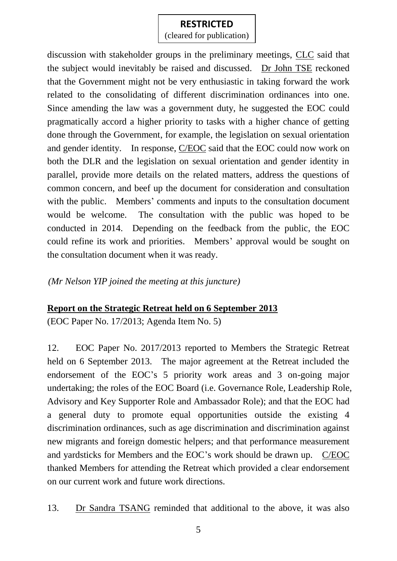(cleared for publication)

discussion with stakeholder groups in the preliminary meetings, CLC said that the subject would inevitably be raised and discussed. Dr John TSE reckoned that the Government might not be very enthusiastic in taking forward the work related to the consolidating of different discrimination ordinances into one. Since amending the law was a government duty, he suggested the EOC could pragmatically accord a higher priority to tasks with a higher chance of getting done through the Government, for example, the legislation on sexual orientation and gender identity. In response, C/EOC said that the EOC could now work on both the DLR and the legislation on sexual orientation and gender identity in parallel, provide more details on the related matters, address the questions of common concern, and beef up the document for consideration and consultation with the public. Members' comments and inputs to the consultation document would be welcome. The consultation with the public was hoped to be conducted in 2014. Depending on the feedback from the public, the EOC could refine its work and priorities. Members' approval would be sought on the consultation document when it was ready.

*(Mr Nelson YIP joined the meeting at this juncture)*

#### **Report on the Strategic Retreat held on 6 September 2013**

(EOC Paper No. 17/2013; Agenda Item No. 5)

12. EOC Paper No. 2017/2013 reported to Members the Strategic Retreat held on 6 September 2013. The major agreement at the Retreat included the endorsement of the EOC's 5 priority work areas and 3 on-going major undertaking; the roles of the EOC Board (i.e. Governance Role, Leadership Role, Advisory and Key Supporter Role and Ambassador Role); and that the EOC had a general duty to promote equal opportunities outside the existing 4 discrimination ordinances, such as age discrimination and discrimination against new migrants and foreign domestic helpers; and that performance measurement and yardsticks for Members and the EOC's work should be drawn up. C/EOC thanked Members for attending the Retreat which provided a clear endorsement on our current work and future work directions.

13. Dr Sandra TSANG reminded that additional to the above, it was also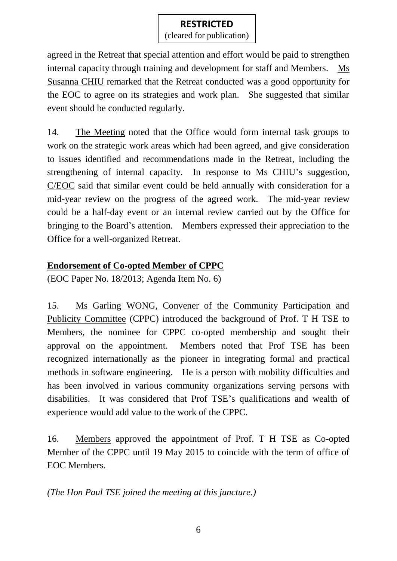(cleared for publication)

agreed in the Retreat that special attention and effort would be paid to strengthen internal capacity through training and development for staff and Members. Ms Susanna CHIU remarked that the Retreat conducted was a good opportunity for the EOC to agree on its strategies and work plan. She suggested that similar event should be conducted regularly.

14. The Meeting noted that the Office would form internal task groups to work on the strategic work areas which had been agreed, and give consideration to issues identified and recommendations made in the Retreat, including the strengthening of internal capacity. In response to Ms CHIU's suggestion, C/EOC said that similar event could be held annually with consideration for a mid-year review on the progress of the agreed work. The mid-year review could be a half-day event or an internal review carried out by the Office for bringing to the Board's attention. Members expressed their appreciation to the Office for a well-organized Retreat.

### **Endorsement of Co-opted Member of CPPC**

(EOC Paper No. 18/2013; Agenda Item No. 6)

15. Ms Garling WONG, Convener of the Community Participation and Publicity Committee (CPPC) introduced the background of Prof. T H TSE to Members, the nominee for CPPC co-opted membership and sought their approval on the appointment. Members noted that Prof TSE has been recognized internationally as the pioneer in integrating formal and practical methods in software engineering. He is a person with mobility difficulties and has been involved in various community organizations serving persons with disabilities. It was considered that Prof TSE's qualifications and wealth of experience would add value to the work of the CPPC.

16. Members approved the appointment of Prof. T H TSE as Co-opted Member of the CPPC until 19 May 2015 to coincide with the term of office of EOC Members.

*(The Hon Paul TSE joined the meeting at this juncture.)*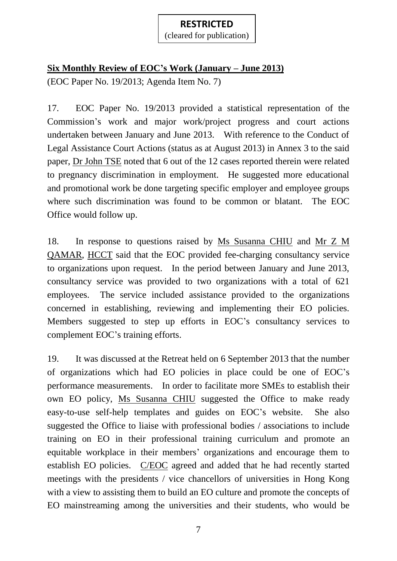# **Six Monthly Review of EOC's Work (January – June 2013)**

(EOC Paper No. 19/2013; Agenda Item No. 7)

17. EOC Paper No. 19/2013 provided a statistical representation of the Commission's work and major work/project progress and court actions undertaken between January and June 2013. With reference to the Conduct of Legal Assistance Court Actions (status as at August 2013) in Annex 3 to the said paper, Dr John TSE noted that 6 out of the 12 cases reported therein were related to pregnancy discrimination in employment. He suggested more educational and promotional work be done targeting specific employer and employee groups where such discrimination was found to be common or blatant. The EOC Office would follow up.

18. In response to questions raised by Ms Susanna CHIU and Mr Z M QAMAR, HCCT said that the EOC provided fee-charging consultancy service to organizations upon request. In the period between January and June 2013, consultancy service was provided to two organizations with a total of 621 employees. The service included assistance provided to the organizations concerned in establishing, reviewing and implementing their EO policies. Members suggested to step up efforts in EOC's consultancy services to complement EOC's training efforts.

19. It was discussed at the Retreat held on 6 September 2013 that the number of organizations which had EO policies in place could be one of EOC's performance measurements. In order to facilitate more SMEs to establish their own EO policy, Ms Susanna CHIU suggested the Office to make ready easy-to-use self-help templates and guides on EOC's website. She also suggested the Office to liaise with professional bodies / associations to include training on EO in their professional training curriculum and promote an equitable workplace in their members' organizations and encourage them to establish EO policies. C/EOC agreed and added that he had recently started meetings with the presidents / vice chancellors of universities in Hong Kong with a view to assisting them to build an EO culture and promote the concepts of EO mainstreaming among the universities and their students, who would be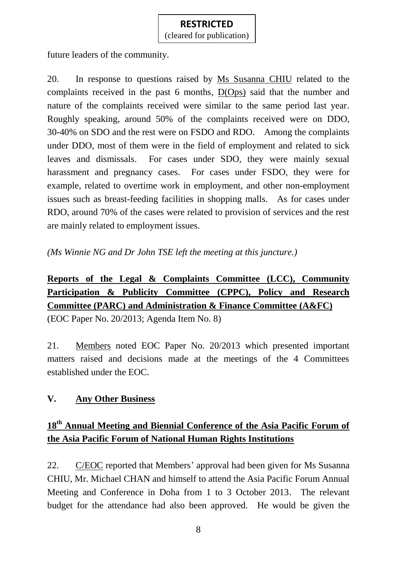future leaders of the community.

20. In response to questions raised by Ms Susanna CHIU related to the complaints received in the past 6 months, D(Ops) said that the number and nature of the complaints received were similar to the same period last year. Roughly speaking, around 50% of the complaints received were on DDO, 30-40% on SDO and the rest were on FSDO and RDO. Among the complaints under DDO, most of them were in the field of employment and related to sick leaves and dismissals. For cases under SDO, they were mainly sexual harassment and pregnancy cases. For cases under FSDO, they were for example, related to overtime work in employment, and other non-employment issues such as breast-feeding facilities in shopping malls. As for cases under RDO, around 70% of the cases were related to provision of services and the rest are mainly related to employment issues.

*(Ms Winnie NG and Dr John TSE left the meeting at this juncture.)*

# **Reports of the Legal & Complaints Committee (LCC), Community Participation & Publicity Committee (CPPC), Policy and Research Committee (PARC) and Administration & Finance Committee (A&FC)**

(EOC Paper No. 20/2013; Agenda Item No. 8)

21. Members noted EOC Paper No. 20/2013 which presented important matters raised and decisions made at the meetings of the 4 Committees established under the EOC.

### **V. Any Other Business**

# **18th Annual Meeting and Biennial Conference of the Asia Pacific Forum of the Asia Pacific Forum of National Human Rights Institutions**

22. C/EOC reported that Members' approval had been given for Ms Susanna CHIU, Mr. Michael CHAN and himself to attend the Asia Pacific Forum Annual Meeting and Conference in Doha from 1 to 3 October 2013. The relevant budget for the attendance had also been approved. He would be given the